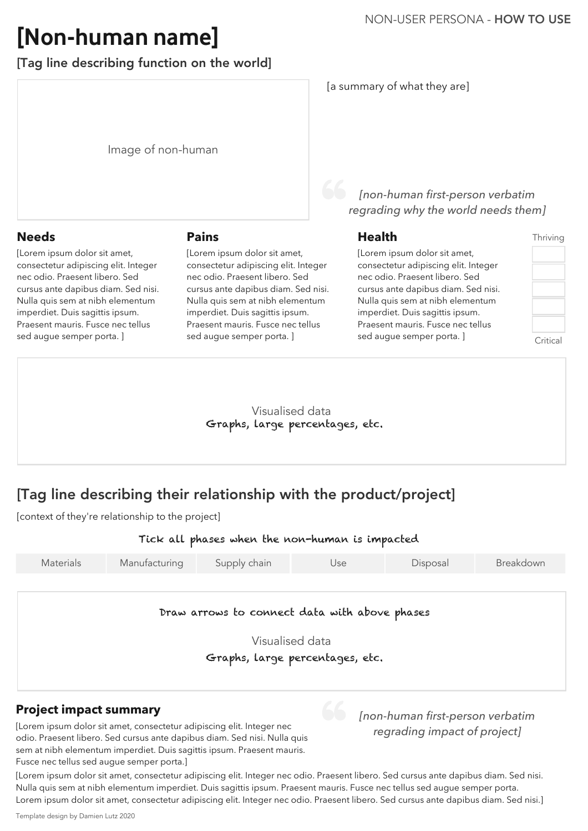Image of non-human

Visualised data

| Materials | Manufacturing | Supply chain | Jse | Disposal | Breakdown |
|-----------|---------------|--------------|-----|----------|-----------|
|-----------|---------------|--------------|-----|----------|-----------|

[Lorem ipsum dolor sit amet, consectetur adipiscing elit. Integer nec odio. Praesent libero. Sed cursus ante dapibus diam. Sed nisi. Nulla quis sem at nibh elementum imperdiet. Duis sagittis ipsum. Praesent mauris. Fusce nec tellus sed augue semper porta. ]

# **[Non-human name]**

#### NON-USER PERSONA - HOW TO USE

[Tag line describing function on the world]

#### **Health**

[Lorem ipsum dolor sit amet, consectetur adipiscing elit. Integer nec odio. Praesent libero. Sed cursus ante dapibus diam. Sed nisi. Nulla quis sem at nibh elementum imperdiet. Duis sagittis ipsum. Praesent mauris. Fusce nec tellus sed augue semper porta. ]

#### **Needs**

#### **Project impact summary**

[Lorem ipsum dolor sit amet, consectetur adipiscing elit. Integer nec odio. Praesent libero. Sed cursus ante dapibus diam. Sed nisi. Nulla quis sem at nibh elementum imperdiet. Duis sagittis ipsum. Praesent mauris. Fusce nec tellus sed augue semper porta. ]

> Visualised data Graphs, large percentages, etc.

[Lorem ipsum dolor sit amet, consectetur adipiscing elit. Integer nec odio. Praesent libero. Sed cursus ante dapibus diam. Sed nisi. Nulla quis sem at nibh elementum imperdiet. Duis sagittis ipsum. Praesent mauris. Fusce nec tellus sed augue semper porta.]

[Lorem ipsum dolor sit amet, consectetur adipiscing elit. Integer nec odio. Praesent libero. Sed cursus ante dapibus diam. Sed nisi. Nulla quis sem at nibh elementum imperdiet. Duis sagittis ipsum. Praesent mauris. Fusce nec tellus sed augue semper porta. Lorem ipsum dolor sit amet, consectetur adipiscing elit. Integer nec odio. Praesent libero. Sed cursus ante dapibus diam. Sed nisi.]

Tick all phases when the non-human is impacted

#### Graphs, large percentages, etc.

#### **Pains**

[a summary of what they are]

*[non-human first-person verbatim* 

*regrading why the world needs them]*

*[non-human first-person verbatim regrading impact of project]*

#### Thriving

Critical

Draw arrows to connect data with above phases

Template design by Damien Lutz 2020

[context of they're relationship to the project]

# [Tag line describing their relationship with the product/project]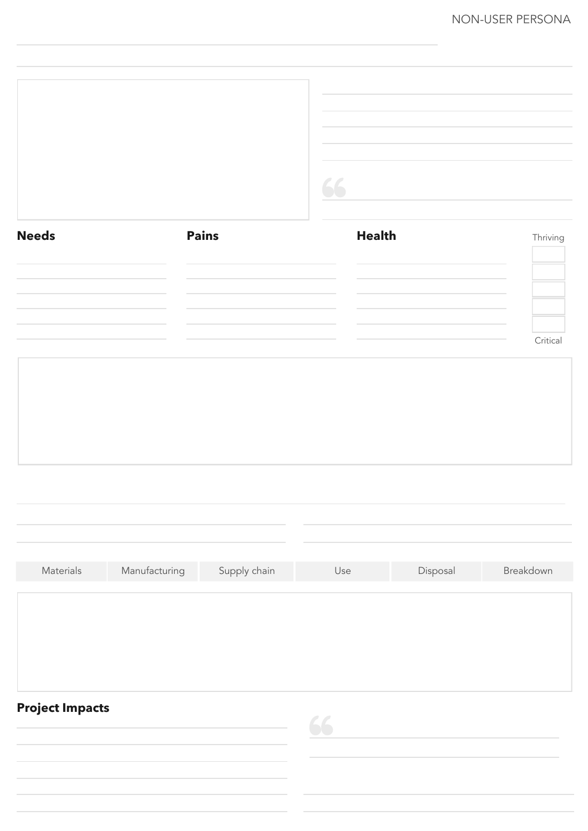#### NON-USER PERSONA



| Needs | Pains | Health | Thriving        |
|-------|-------|--------|-----------------|
|       |       |        |                 |
|       |       |        |                 |
|       |       |        | <i>`</i> ritica |

### **Project Impacts**



|           |               | ,我们也不会有什么。""我们的人,我们也不会有什么?""我们的人,我们也不会有什么?""我们的人,我们也不会有什么?""我们的人,我们也不会有什么?""我们的人 | 的复数人物,但是我们的人物,我们的人物,我们的人物,我们的人物,我们的人物,我们的人物,我们的人物,我们的人物,我们的人物,我们的人物,我们的人物,我们的人物,我 |          |           |
|-----------|---------------|----------------------------------------------------------------------------------|-----------------------------------------------------------------------------------|----------|-----------|
| Materials | Manufacturing | Supply chain                                                                     | Use                                                                               | Disposal | Breakdown |
|           |               |                                                                                  |                                                                                   |          |           |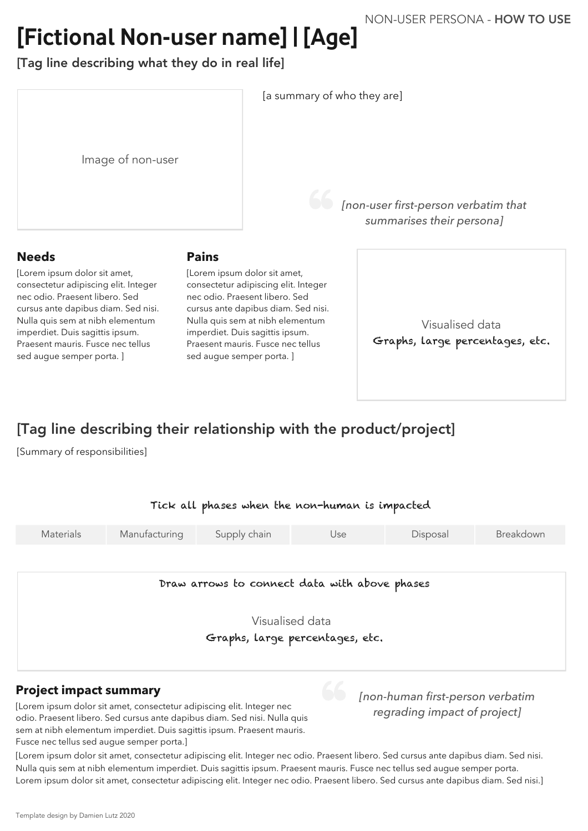Image of non-user

Visualised data Graphs, large percentages, etc.

Visualised data

| Materials | Manufacturing | Supply chain | Jse | Disposal | Breakdown |
|-----------|---------------|--------------|-----|----------|-----------|
|-----------|---------------|--------------|-----|----------|-----------|

# **[Fictional Non-user name] | [Age]** NON-USER PERSONA - HOW TO USE

[Tag line describing what they do in real life]

#### **Needs**

[Lorem ipsum dolor sit amet, consectetur adipiscing elit. Integer nec odio. Praesent libero. Sed cursus ante dapibus diam. Sed nisi. Nulla quis sem at nibh elementum imperdiet. Duis sagittis ipsum. Praesent mauris. Fusce nec tellus sed augue semper porta. ]

#### **Project impact summary**

[Lorem ipsum dolor sit amet, consectetur adipiscing elit. Integer nec odio. Praesent libero. Sed cursus ante dapibus diam. Sed nisi. Nulla quis sem at nibh elementum imperdiet. Duis sagittis ipsum. Praesent mauris. Fusce nec tellus sed augue semper porta.]

[Lorem ipsum dolor sit amet, consectetur adipiscing elit. Integer nec odio. Praesent libero. Sed cursus ante dapibus diam. Sed nisi. Nulla quis sem at nibh elementum imperdiet. Duis sagittis ipsum. Praesent mauris. Fusce nec tellus sed augue semper porta. Lorem ipsum dolor sit amet, consectetur adipiscing elit. Integer nec odio. Praesent libero. Sed cursus ante dapibus diam. Sed nisi.]

#### **Pains**

[Lorem ipsum dolor sit amet, consectetur adipiscing elit. Integer nec odio. Praesent libero. Sed cursus ante dapibus diam. Sed nisi. Nulla quis sem at nibh elementum imperdiet. Duis sagittis ipsum. Praesent mauris. Fusce nec tellus sed augue semper porta. ]

Graphs, large percentages, etc.

Draw arrows to connect data with above phases

[a summary of who they are]

*[non-user first-person verbatim that summarises their persona]*

*[non-human first-person verbatim regrading impact of project]*

[Summary of responsibilities]

#### Tick all phases when the non-human is impacted

# [Tag line describing their relationship with the product/project]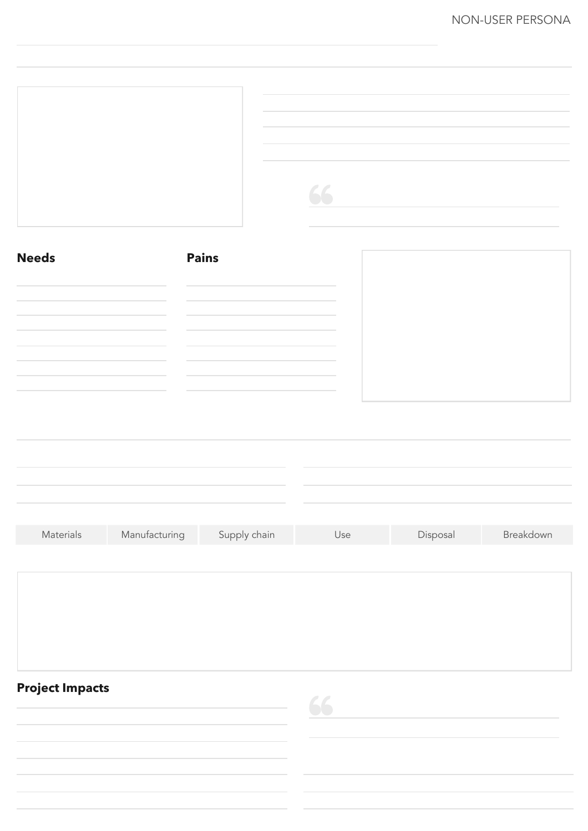| Materials | Manufacturing | Supply chain | Use | Disposal | Breakdown |
|-----------|---------------|--------------|-----|----------|-----------|
|           |               |              |     |          |           |
|           |               |              |     |          |           |
|           |               |              |     |          |           |
|           |               |              |     |          |           |

#### NON-USER PERSONA



and the state of the state of the



| Needs                                                                                                                                                                                                                         | Pains                                                                                                                                                                 |  |
|-------------------------------------------------------------------------------------------------------------------------------------------------------------------------------------------------------------------------------|-----------------------------------------------------------------------------------------------------------------------------------------------------------------------|--|
| ,我们也不会有什么。""我们的人,我们也不会有什么?""我们的人,我们也不会有什么?""我们的人,我们也不会有什么?""我们的人,我们也不会有什么?""我们的人                                                                                                                                              |                                                                                                                                                                       |  |
| the control of the control of the control of the control of the control of the control of the control of the control of the control of the control of the control of the control of the control of the control of the control | ,他们的人都不知道,他们的人都不知道,他们的人都不知道,他们的人都不知道,他们的人都不知道,他们的人都不知道,他们的人都不知道,他们的人都不知道,他们的人都不知道<br>第151章 他们的人都不知道,他们的人都不知道,他们的人都不知道,他们的人都不知道,他们的人都不知道,他们的人都不知道,他们的人都不知道,他们的人都不知道,他们 |  |
|                                                                                                                                                                                                                               |                                                                                                                                                                       |  |
|                                                                                                                                                                                                                               |                                                                                                                                                                       |  |

and the state of the state of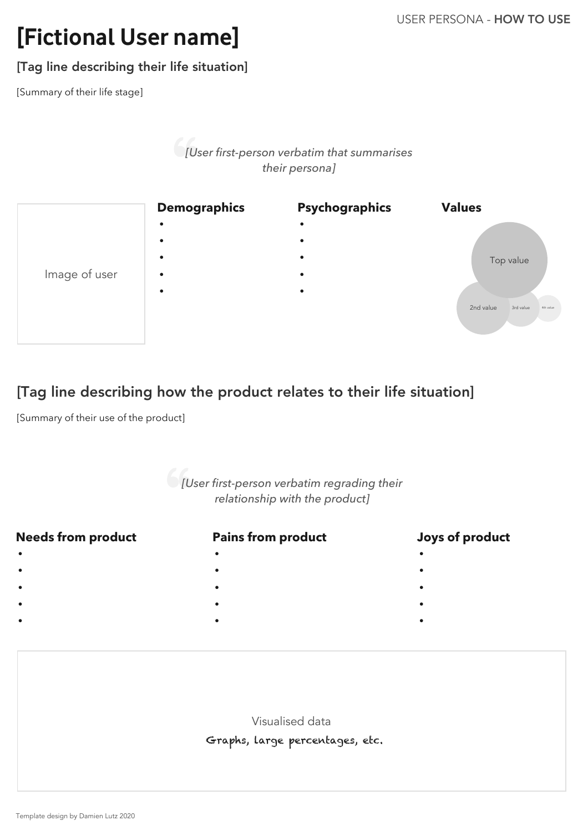#### **Pains from product**

•

•

•

•

•

- -

#### **Needs from product**

 • • • •

•

### **Joys of product**

 • • •

•

•

Visualised data

# **[Fictional User name]**

#### USER PERSONA - HOW TO USE

Template design by Damien Lutz 2020



[Tag line describing their life situation]

# [Tag line describing how the product relates to their life situation]

Graphs, large percentages, etc.

*[User first-person verbatim that summarises their persona]*

# *[User first-person verbatim regrading their relationship with the product]*

[Summary of their life stage]